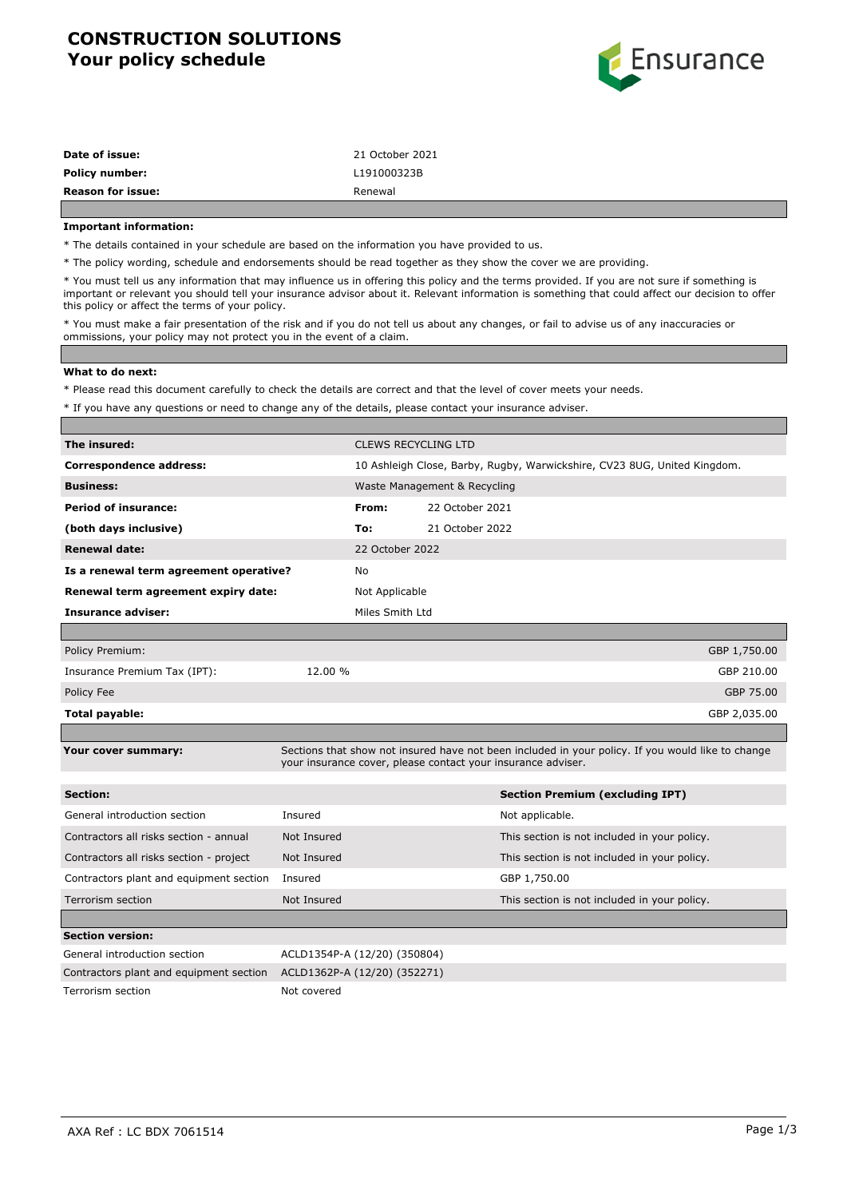# **CONSTRUCTION SOLUTIONS Your policy schedule**



| <b>Reason for issue:</b> | Renewal         |
|--------------------------|-----------------|
| <b>Policy number:</b>    | L191000323B     |
| Date of issue:           | 21 October 2021 |

#### **Important information:**

\* The details contained in your schedule are based on the information you have provided to us.

\* The policy wording, schedule and endorsements should be read together as they show the cover we are providing.

\* You must tell us any information that may influence us in offering this policy and the terms provided. If you are not sure if something is important or relevant you should tell your insurance advisor about it. Relevant information is something that could affect our decision to offer this policy or affect the terms of your policy.

\* You must make a fair presentation of the risk and if you do not tell us about any changes, or fail to advise us of any inaccuracies or ommissions, your policy may not protect you in the event of a claim.

#### **What to do next:**

\* Please read this document carefully to check the details are correct and that the level of cover meets your needs.

\* If you have any questions or need to change any of the details, please contact your insurance adviser.

| The insured:                            |             |                                                                          | <b>CLEWS RECYCLING LTD</b> |                                                                                                                                                                   |              |
|-----------------------------------------|-------------|--------------------------------------------------------------------------|----------------------------|-------------------------------------------------------------------------------------------------------------------------------------------------------------------|--------------|
| <b>Correspondence address:</b>          |             | 10 Ashleigh Close, Barby, Rugby, Warwickshire, CV23 8UG, United Kingdom. |                            |                                                                                                                                                                   |              |
| <b>Business:</b>                        |             | Waste Management & Recycling                                             |                            |                                                                                                                                                                   |              |
| <b>Period of insurance:</b>             |             | From:                                                                    | 22 October 2021            |                                                                                                                                                                   |              |
| (both days inclusive)                   |             | To:                                                                      | 21 October 2022            |                                                                                                                                                                   |              |
| <b>Renewal date:</b>                    |             | 22 October 2022                                                          |                            |                                                                                                                                                                   |              |
| Is a renewal term agreement operative?  |             | No                                                                       |                            |                                                                                                                                                                   |              |
| Renewal term agreement expiry date:     |             | Not Applicable                                                           |                            |                                                                                                                                                                   |              |
| <b>Insurance adviser:</b>               |             | Miles Smith Ltd                                                          |                            |                                                                                                                                                                   |              |
|                                         |             |                                                                          |                            |                                                                                                                                                                   |              |
| Policy Premium:                         |             |                                                                          |                            |                                                                                                                                                                   | GBP 1,750.00 |
| Insurance Premium Tax (IPT):            | 12.00 %     |                                                                          |                            |                                                                                                                                                                   | GBP 210.00   |
| Policy Fee                              |             |                                                                          |                            |                                                                                                                                                                   | GBP 75.00    |
| Total payable:                          |             |                                                                          |                            |                                                                                                                                                                   | GBP 2,035.00 |
|                                         |             |                                                                          |                            |                                                                                                                                                                   |              |
| Your cover summary:                     |             |                                                                          |                            | Sections that show not insured have not been included in your policy. If you would like to change<br>your insurance cover, please contact your insurance adviser. |              |
| Section:                                |             |                                                                          |                            | <b>Section Premium (excluding IPT)</b>                                                                                                                            |              |
| General introduction section            | Insured     |                                                                          |                            | Not applicable.                                                                                                                                                   |              |
| Contractors all risks section - annual  | Not Insured |                                                                          |                            | This section is not included in your policy.                                                                                                                      |              |
| Contractors all risks section - project | Not Insured |                                                                          |                            | This section is not included in your policy.                                                                                                                      |              |
| Contractors plant and equipment section | Insured     |                                                                          |                            | GBP 1,750.00                                                                                                                                                      |              |
| <b>Terrorism section</b>                | Not Insured |                                                                          |                            | This section is not included in your policy.                                                                                                                      |              |
|                                         |             |                                                                          |                            |                                                                                                                                                                   |              |
| <b>Section version:</b>                 |             |                                                                          |                            |                                                                                                                                                                   |              |
| General introduction section            |             | ACLD1354P-A (12/20) (350804)                                             |                            |                                                                                                                                                                   |              |
| Contractors plant and equipment section |             | ACLD1362P-A (12/20) (352271)                                             |                            |                                                                                                                                                                   |              |
| Terrorism section                       | Not covered |                                                                          |                            |                                                                                                                                                                   |              |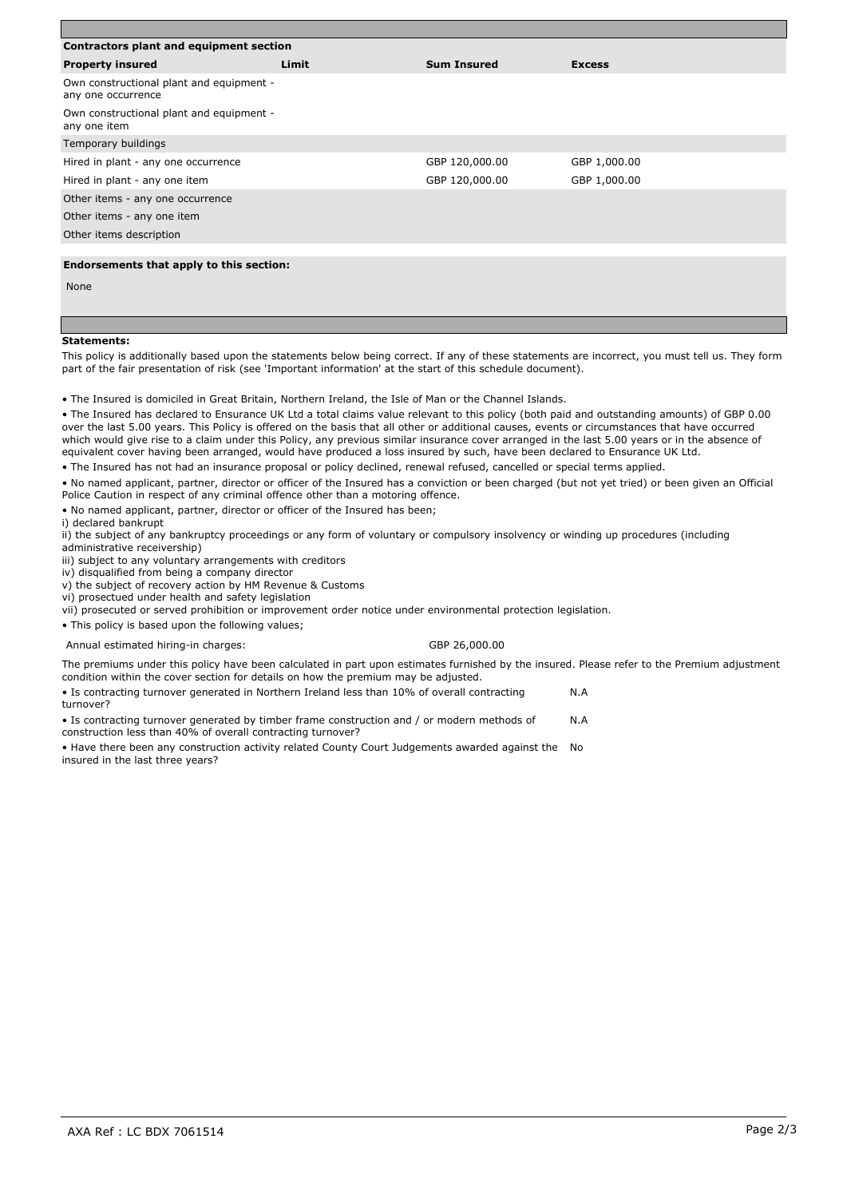| Contractors plant and equipment section                        |       |                    |               |  |  |
|----------------------------------------------------------------|-------|--------------------|---------------|--|--|
| <b>Property insured</b>                                        | Limit | <b>Sum Insured</b> | <b>Excess</b> |  |  |
| Own constructional plant and equipment -<br>any one occurrence |       |                    |               |  |  |
| Own constructional plant and equipment -<br>any one item       |       |                    |               |  |  |
| Temporary buildings                                            |       |                    |               |  |  |
| Hired in plant - any one occurrence                            |       | GBP 120,000.00     | GBP 1,000.00  |  |  |
| Hired in plant - any one item                                  |       | GBP 120,000.00     | GBP 1,000.00  |  |  |
| Other items - any one occurrence                               |       |                    |               |  |  |
| Other items - any one item                                     |       |                    |               |  |  |
| Other items description                                        |       |                    |               |  |  |
|                                                                |       |                    |               |  |  |
| Endorsements that apply to this section:                       |       |                    |               |  |  |
| None                                                           |       |                    |               |  |  |
|                                                                |       |                    |               |  |  |

#### **Statements:**

This policy is additionally based upon the statements below being correct. If any of these statements are incorrect, you must tell us. They form part of the fair presentation of risk (see 'Important information' at the start of this schedule document).

• The Insured is domiciled in Great Britain, Northern Ireland, the Isle of Man or the Channel Islands.

• The Insured has declared to Ensurance UK Ltd a total claims value relevant to this policy (both paid and outstanding amounts) of GBP 0.00 over the last 5.00 years. This Policy is offered on the basis that all other or additional causes, events or circumstances that have occurred which would give rise to a claim under this Policy, any previous similar insurance cover arranged in the last 5.00 years or in the absence of equivalent cover having been arranged, would have produced a loss insured by such, have been declared to Ensurance UK Ltd.

• The Insured has not had an insurance proposal or policy declined, renewal refused, cancelled or special terms applied.

• No named applicant, partner, director or officer of the Insured has a conviction or been charged (but not yet tried) or been given an Official Police Caution in respect of any criminal offence other than a motoring offence.

• No named applicant, partner, director or officer of the Insured has been;

i) declared bankrupt

ii) the subject of any bankruptcy proceedings or any form of voluntary or compulsory insolvency or winding up procedures (including administrative receivership)

iii) subject to any voluntary arrangements with creditors

iv) disqualified from being a company director

v) the subject of recovery action by HM Revenue & Customs

vi) prosectued under health and safety legislation

vii) prosecuted or served prohibition or improvement order notice under environmental protection legislation.

• This policy is based upon the following values;

Annual estimated hiring-in charges: GBP 26,000.00

The premiums under this policy have been calculated in part upon estimates furnished by the insured. Please refer to the Premium adjustment condition within the cover section for details on how the premium may be adjusted.

• Is contracting turnover generated in Northern Ireland less than 10% of overall contracting turnover? N.A

• Is contracting turnover generated by timber frame construction and / or modern methods of construction less than 40% of overall contracting turnover? N.A

• Have there been any construction activity related County Court Judgements awarded against the No insured in the last three years?